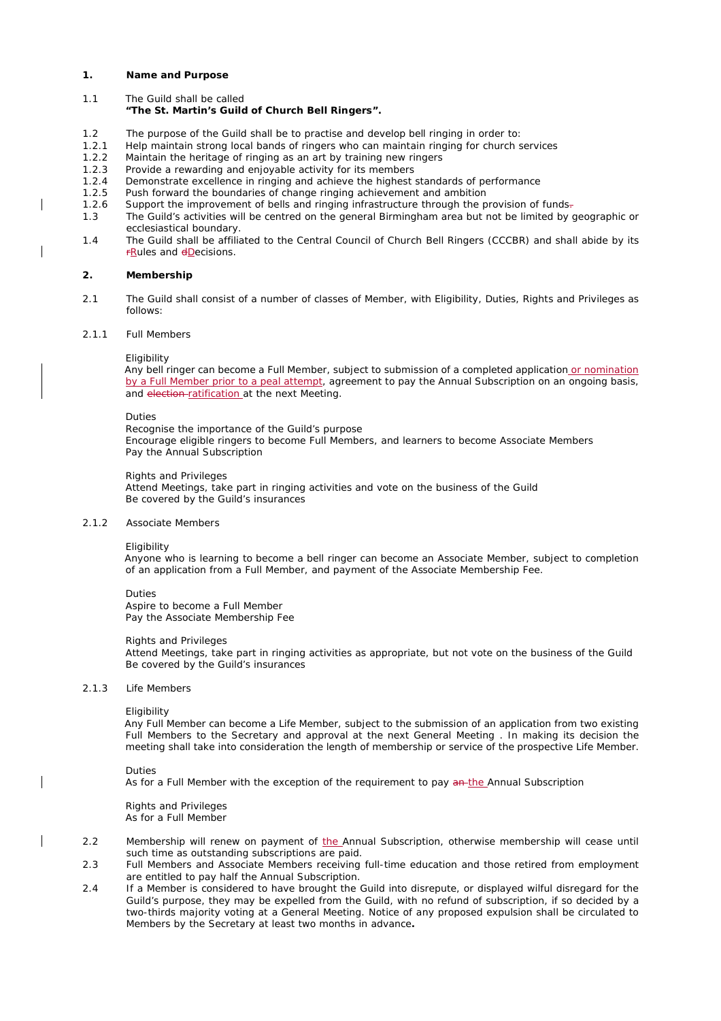### **1. Name and Purpose**

1.1 The Guild shall be called

## **"The St. Martin's Guild of Church Bell Ringers".**

- 1.2 The purpose of the Guild shall be to practise and develop bell ringing in order to:
- 1.2.1 Help maintain strong local bands of ringers who can maintain ringing for church services 1.2.2 Maintain the heritage of ringing as an art by training new ringers
- Maintain the heritage of ringing as an art by training new ringers
- 1.2.3 Provide a rewarding and enjoyable activity for its members<br>1.2.4 Demonstrate excellence in ringing and achieve the highest
- Demonstrate excellence in ringing and achieve the highest standards of performance
- 1.2.5 Push forward the boundaries of change ringing achievement and ambition 1.2.6 Support the improvement of bells and ringing infrastructure through the p
- Support the improvement of bells and ringing infrastructure through the provision of funds-
- 1.3 The Guild's activities will be centred on the general Birmingham area but not be limited by geographic or ecclesiastical boundary.
- 1.4 The Guild shall be affiliated to the Central Council of Church Bell Ringers (CCCBR) and shall abide by its *<u>Rules</u>* and **dDecisions**.

## **2. Membership**

2.1 The Guild shall consist of a number of classes of Member, with Eligibility, Duties, Rights and Privileges as follows:

### 2.1.1 Full Members

### *Eligibility*

Any bell ringer can become a Full Member, subject to submission of a completed application or nomination by a Full Member prior to a peal attempt, agreement to pay the Annual Subscription on an ongoing basis, and election-ratification at the next Meeting.

### *Duties*

Recognise the importance of the Guild's purpose Encourage eligible ringers to become Full Members, and learners to become Associate Members Pay the Annual Subscription

### *Rights and Privileges*

Attend Meetings, take part in ringing activities and vote on the business of the Guild Be covered by the Guild's insurances

### 2.1.2 Associate Members

#### *Eligibility*

Anyone who is learning to become a bell ringer can become an Associate Member, subject to completion of an application from a Full Member, and payment of the Associate Membership Fee.

### *Duties*

Aspire to become a Full Member Pay the Associate Membership Fee

### *Rights and Privileges*

Attend Meetings, take part in ringing activities as appropriate, but not vote on the business of the Guild Be covered by the Guild's insurances

#### 2.1.3 Life Members

### *Eligibility*

Any Full Member can become a Life Member, subject to the submission of an application from two existing Full Members to the Secretary and approval at the next General Meeting . In making its decision the meeting shall take into consideration the length of membership or service of the prospective Life Member.

### *Duties*

As for a Full Member with the exception of the requirement to pay an-the Annual Subscription

#### *Rights and Privileges* As for a Full Member

- 2.2 Membership will renew on payment of the Annual Subscription, otherwise membership will cease until such time as outstanding subscriptions are paid.
- 2.3 Full Members and Associate Members receiving full-time education and those retired from employment are entitled to pay half the Annual Subscription.
- 2.4 If a Member is considered to have brought the Guild into disrepute, or displayed wilful disregard for the Guild's purpose, they may be expelled from the Guild, with no refund of subscription, if so decided by a two-thirds majority voting at a General Meeting. Notice of any proposed expulsion shall be circulated to Members by the Secretary at least two months in advance**.**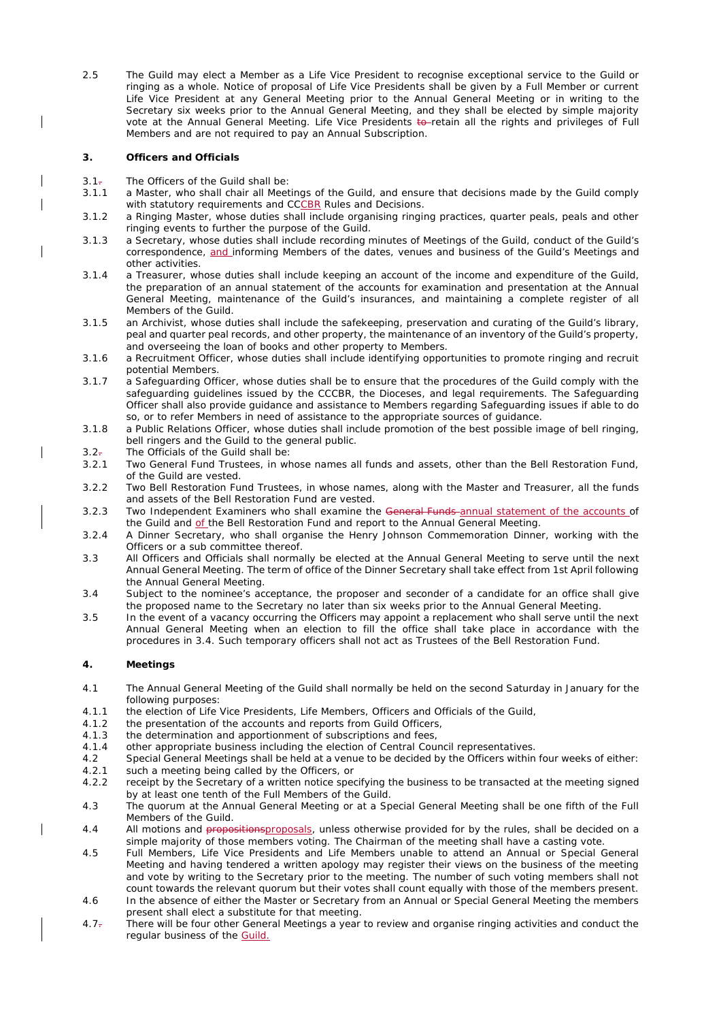2.5 The Guild may elect a Member as a Life Vice President to recognise exceptional service to the Guild or ringing as a whole. Notice of proposal of Life Vice Presidents shall be given by a Full Member or current Life Vice President at any General Meeting prior to the Annual General Meeting or in writing to the Secretary six weeks prior to the Annual General Meeting, and they shall be elected by simple majority vote at the Annual General Meeting. Life Vice Presidents to retain all the rights and privileges of Full Members and are not required to pay an Annual Subscription.

# **3. Officers and Officials**

- 3.1. The Officers of the Guild shall be:
- 3.1.1 a Master, who shall chair all Meetings of the Guild, and ensure that decisions made by the Guild comply with statutory requirements and CCCBR Rules and Decisions.
- 3.1.2 a Ringing Master, whose duties shall include organising ringing practices, quarter peals, peals and other ringing events to further the purpose of the Guild.
- 3.1.3 a Secretary, whose duties shall include recording minutes of Meetings of the Guild, conduct of the Guild's correspondence, and informing Members of the dates, venues and business of the Guild's Meetings and other activities.
- 3.1.4 a Treasurer, whose duties shall include keeping an account of the income and expenditure of the Guild, the preparation of an annual statement of the accounts for examination and presentation at the Annual General Meeting, maintenance of the Guild's insurances, and maintaining a complete register of all Members of the Guild.
- 3.1.5 an Archivist, whose duties shall include the safekeeping, preservation and curating of the Guild's library, peal and quarter peal records, and other property, the maintenance of an inventory of the Guild's property, and overseeing the loan of books and other property to Members.
- 3.1.6 a Recruitment Officer, whose duties shall include identifying opportunities to promote ringing and recruit potential Members.
- 3.1.7 a Safeguarding Officer, whose duties shall be to ensure that the procedures of the Guild comply with the safeguarding guidelines issued by the CCCBR, the Dioceses, and legal requirements. The Safeguarding Officer shall also provide guidance and assistance to Members regarding Safeguarding issues if able to do so, or to refer Members in need of assistance to the appropriate sources of guidance.
- 3.1.8 a Public Relations Officer, whose duties shall include promotion of the best possible image of bell ringing, bell ringers and the Guild to the general public.
- 3.2. The Officials of the Guild shall be:<br>3.2.1 Two General Fund Trustees. in wh
- Two General Fund Trustees, in whose names all funds and assets, other than the Bell Restoration Fund, of the Guild are vested.
- 3.2.2 Two Bell Restoration Fund Trustees, in whose names, along with the Master and Treasurer, all the funds and assets of the Bell Restoration Fund are vested.
- 3.2.3 Two Independent Examiners who shall examine the General Funds-annual statement of the accounts of the Guild and of the Bell Restoration Fund and report to the Annual General Meeting.
- 3.2.4 A Dinner Secretary, who shall organise the Henry Johnson Commemoration Dinner, working with the Officers or a sub committee thereof.
- 3.3 All Officers and Officials shall normally be elected at the Annual General Meeting to serve until the next Annual General Meeting. The term of office of the Dinner Secretary shall take effect from 1st April following the Annual General Meeting.
- 3.4 Subject to the nominee's acceptance, the proposer and seconder of a candidate for an office shall give the proposed name to the Secretary no later than six weeks prior to the Annual General Meeting.
- 3.5 In the event of a vacancy occurring the Officers may appoint a replacement who shall serve until the next Annual General Meeting when an election to fill the office shall take place in accordance with the procedures in 3.4. Such temporary officers shall not act as Trustees of the Bell Restoration Fund.

# **4. Meetings**

- 4.1 The Annual General Meeting of the Guild shall normally be held on the second Saturday in January for the following purposes:
- 4.1.1 the election of Life Vice Presidents, Life Members, Officers and Officials of the Guild,
- 4.1.2 the presentation of the accounts and reports from Guild Officers,
- 4.1.3 the determination and apportionment of subscriptions and fees,
- 4.1.4 other appropriate business including the election of Central Council representatives.
- 4.2 Special General Meetings shall be held at a venue to be decided by the Officers within four weeks of either: 4.2.1 such a meeting being called by the Officers, or
- 4.2.2 receipt by the Secretary of a written notice specifying the business to be transacted at the meeting signed by at least one tenth of the Full Members of the Guild.
- 4.3 The quorum at the Annual General Meeting or at a Special General Meeting shall be one fifth of the Full Members of the Guild.
- 4.4 All motions and propositionsproposals, unless otherwise provided for by the rules, shall be decided on a simple majority of those members voting. The Chairman of the meeting shall have a casting vote.
- 4.5 Full Members, Life Vice Presidents and Life Members unable to attend an Annual or Special General Meeting and having tendered a written apology may register their views on the business of the meeting and vote by writing to the Secretary prior to the meeting. The number of such voting members shall not count towards the relevant quorum but their votes shall count equally with those of the members present.
- 4.6 In the absence of either the Master or Secretary from an Annual or Special General Meeting the members present shall elect a substitute for that meeting.
- 4.7. There will be four other General Meetings a year to review and organise ringing activities and conduct the regular business of the Guild.